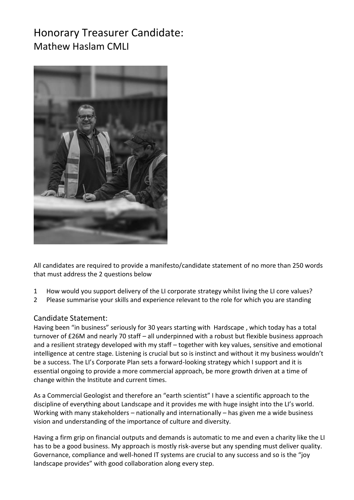## Honorary Treasurer Candidate: Mathew Haslam CMLI



All candidates are required to provide a manifesto/candidate statement of no more than 250 words that must address the 2 questions below

- 1 How would you support delivery of the LI corporate strategy whilst living the LI core values?
- 2 Please summarise your skills and experience relevant to the role for which you are standing

## Candidate Statement:

Having been "in business" seriously for 30 years starting with Hardscape , which today has a total turnover of £26M and nearly 70 staff – all underpinned with a robust but flexible business approach and a resilient strategy developed with my staff – together with key values, sensitive and emotional intelligence at centre stage. Listening is crucial but so is instinct and without it my business wouldn't be a success. The LI's Corporate Plan sets a forward-looking strategy which I support and it is essential ongoing to provide a more commercial approach, be more growth driven at a time of change within the Institute and current times.

As a Commercial Geologist and therefore an "earth scientist" I have a scientific approach to the discipline of everything about Landscape and it provides me with huge insight into the LI's world. Working with many stakeholders – nationally and internationally – has given me a wide business vision and understanding of the importance of culture and diversity.

Having a firm grip on financial outputs and demands is automatic to me and even a charity like the LI has to be a good business. My approach is mostly risk-averse but any spending must deliver quality. Governance, compliance and well-honed IT systems are crucial to any success and so is the "joy landscape provides" with good collaboration along every step.